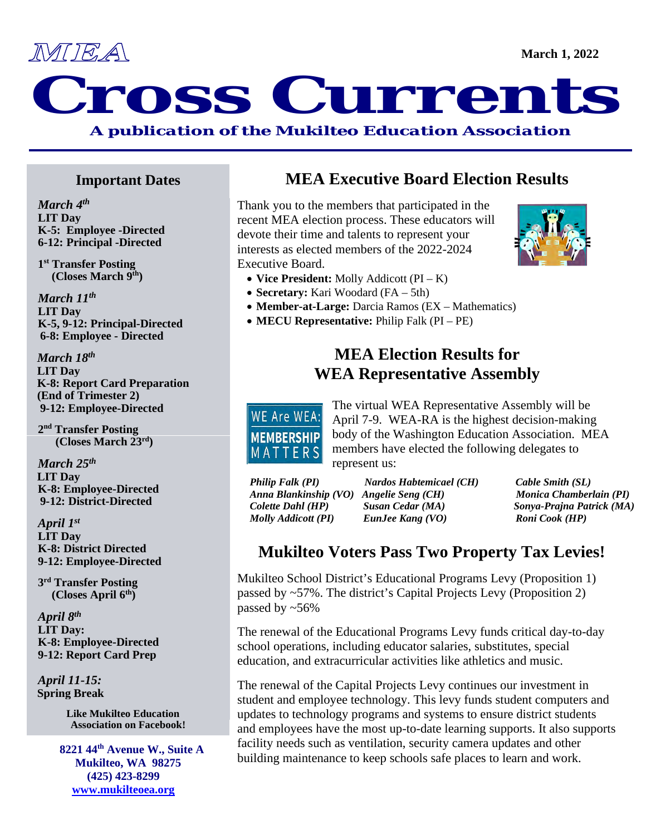

# MEA March 1, 2022 *A publication of the Mukilteo Education Association*

**Important Dates**

*March 4th* **LIT Day K-5: Employee -Directed 6-12: Principal -Directed**

 **1st Transfer Posting (Closes March 9th)** 

 *March 11th*  **LIT Day K-5, 9-12: Principal-Directed 6-8: Employee - Directed**

 *March 18th* **LIT Day****K-8: Report Card Preparation (End of Trimester 2) 9-12: Employee-Directed**

 **2nd Transfer Posting (Closes March 23rd)** 

*March 25th* **LIT Day K-8: Employee-Directed 9-12: District-Directed**

 *April 1st*  **LIT Day K-8: District Directed 9-12: Employee-Directed**

 **3rd Transfer Posting (Closes April 6th)** 

*April 8th* **LIT Day: K-8: Employee-Directed 9-12: Report Card Prep** 

*April 11-15:* **Spring Break**

> **Like Mukilteo Education Association on Facebook!**

 **8221 44th Avenue W., Suite A Mukilteo, WA 98275 (425) 423-8299 [www.mukilteoea.org](http://www.mukilteoea.org/)** 

# **MEA Executive Board Election Results**

Thank you to the members that participated in the recent MEA election process. These educators will devote their time and talents to represent your interests as elected members of the 2022-2024 Executive Board.

- **Vice President:** Molly Addicott (PI K)
- **Secretary:** Kari Woodard (FA 5th)
- **Member-at-Large:** Darcia Ramos (EX Mathematics)
- **MECU Representative:** Philip Falk (PI PE)

## **MEA Election Results for WEA Representative Assembly**

WE Are WEA: **MEMBERSHIP** MATTERS

The virtual WEA Representative Assembly will be April 7-9. WEA-RA is the highest decision-making body of the Washington Education Association. MEA members have elected the following delegates to represent us:

*Philip Falk (PI) Nardos Habtemicael (CH) Cable Smith (SL) Molly Addicott (PI) EunJee Kang (VO) Roni Cook (HP)*

*Anna Blankinship (VO) Angelie Seng (CH) Monica Chamberlain (PI) Colette Dahl (HP) Susan Cedar (MA) Sonya-Prajna Patrick (MA)* 

# **Mukilteo Voters Pass Two Property Tax Levies!**

Mukilteo School District's Educational Programs Levy (Proposition 1) passed by ~57%. The district's Capital Projects Levy (Proposition 2) passed by ~56%

The renewal of the Educational Programs Levy funds critical day-to-day school operations, including educator salaries, substitutes, special education, and extracurricular activities like athletics and music.

The renewal of the Capital Projects Levy continues our investment in student and employee technology. This levy funds student computers and updates to technology programs and systems to ensure district students and employees have the most up-to-date learning supports. It also supports facility needs such as ventilation, security camera updates and other building maintenance to keep schools safe places to learn and work.



**March 1, 2022**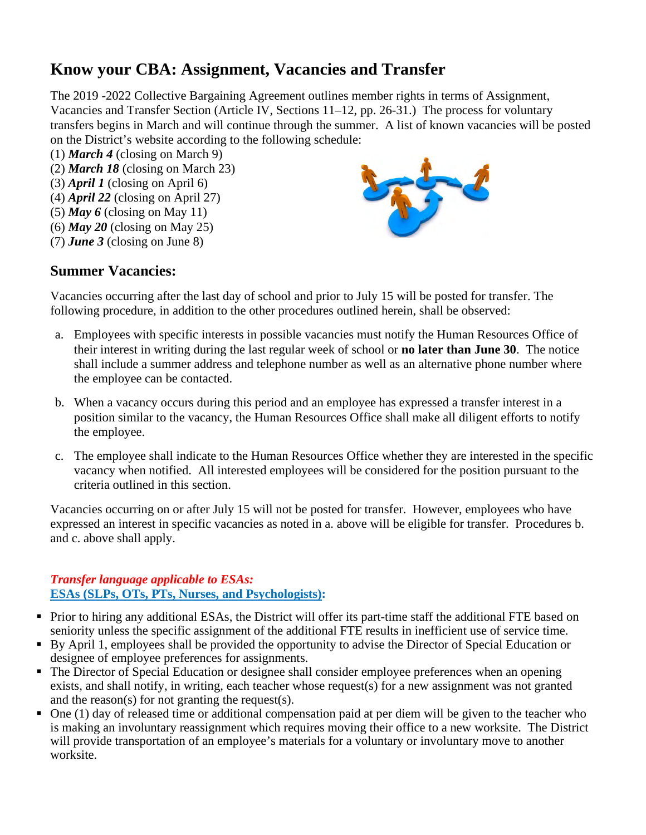# **Know your CBA: Assignment, Vacancies and Transfer**

The 2019 -2022 Collective Bargaining Agreement outlines member rights in terms of Assignment, Vacancies and Transfer Section (Article IV, Sections 11–12, pp. 26-31.) The process for voluntary transfers begins in March and will continue through the summer. A list of known vacancies will be posted on the District's website according to the following schedule:

- (1) *March 4* (closing on March 9)
- (2) *March 18* (closing on March 23)
- (3) *April 1* (closing on April 6)
- (4) *April 22* (closing on April 27)
- (5) *May 6* (closing on May 11)
- (6) *May 20* (closing on May 25)
- (7) *June 3* (closing on June 8)



#### **Summer Vacancies:**

Vacancies occurring after the last day of school and prior to July 15 will be posted for transfer. The following procedure, in addition to the other procedures outlined herein, shall be observed:

- a. Employees with specific interests in possible vacancies must notify the Human Resources Office of their interest in writing during the last regular week of school or **no later than June 30**. The notice shall include a summer address and telephone number as well as an alternative phone number where the employee can be contacted.
- b. When a vacancy occurs during this period and an employee has expressed a transfer interest in a position similar to the vacancy, the Human Resources Office shall make all diligent efforts to notify the employee.
- c. The employee shall indicate to the Human Resources Office whether they are interested in the specific vacancy when notified. All interested employees will be considered for the position pursuant to the criteria outlined in this section.

Vacancies occurring on or after July 15 will not be posted for transfer. However, employees who have expressed an interest in specific vacancies as noted in a. above will be eligible for transfer. Procedures b. and c. above shall apply.

#### *Transfer language applicable to ESAs:*  **ESAs (SLPs, OTs, PTs, Nurses, and Psychologists):**

- Prior to hiring any additional ESAs, the District will offer its part-time staff the additional FTE based on seniority unless the specific assignment of the additional FTE results in inefficient use of service time.
- By April 1, employees shall be provided the opportunity to advise the Director of Special Education or designee of employee preferences for assignments.
- The Director of Special Education or designee shall consider employee preferences when an opening exists, and shall notify, in writing, each teacher whose request(s) for a new assignment was not granted and the reason(s) for not granting the request(s).
- $\blacksquare$  One (1) day of released time or additional compensation paid at per diem will be given to the teacher who is making an involuntary reassignment which requires moving their office to a new worksite. The District will provide transportation of an employee's materials for a voluntary or involuntary move to another worksite.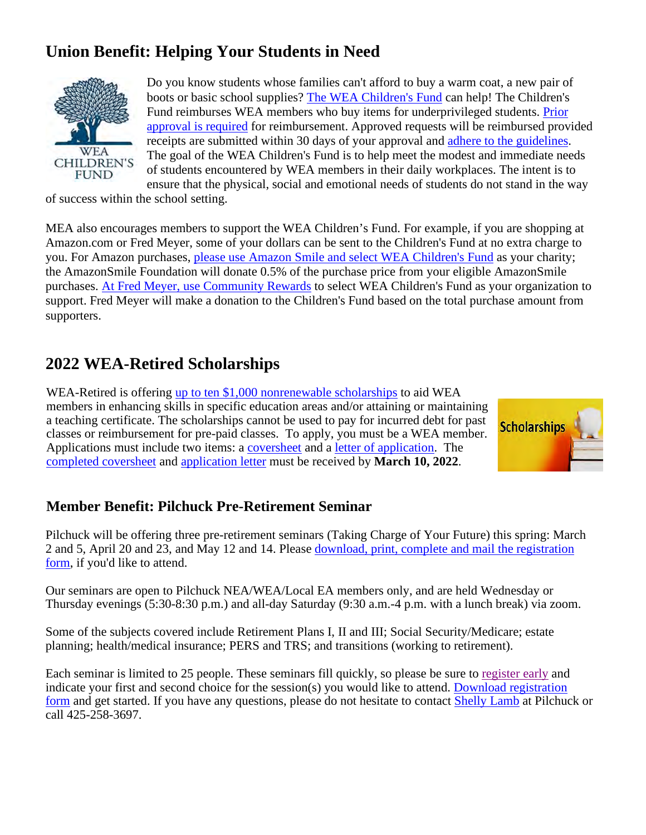# **Union Benefit: Helping Your Students in Need**



Do you know students whose families can't afford to buy a warm coat, a new pair of boots or basic school supplies? [The WEA Children's Fund](https://www.washingtonea.org/we-are-wea/childrensfund/) can help! The Children's Fund reimburses WEA members who buy items for underprivileged students. [Prior](http://pforms.washingtonea.org/Forms/cfund?_ga=2.144519664.47941400.1545428789-1171129187.1481241563)  [approval is required](http://pforms.washingtonea.org/Forms/cfund?_ga=2.144519664.47941400.1545428789-1171129187.1481241563) for reimbursement. Approved requests will be reimbursed provided receipts are submitted within 30 days of your approval and [adhere to the guidelines.](https://www.washingtonea.org/file_viewer.php?id=14911) The goal of the WEA Children's Fund is to help meet the modest and immediate needs of students encountered by WEA members in their daily workplaces. The intent is to ensure that the physical, social and emotional needs of students do not stand in the way

of success within the school setting.

MEA also encourages members to support the WEA Children's Fund. For example, if you are shopping at Amazon.com or Fred Meyer, some of your dollars can be sent to the Children's Fund at no extra charge to you. For Amazon purchases, [please use Amazon Smile and select WEA Children's Fund](https://smile.amazon.com/ap/signin?_encoding=UTF8&openid.assoc_handle=amzn_smile&openid.claimed_id=http%3A%2F%2Fspecs.openid.net%2Fauth%2F2.0%2Fidentifier_select&openid.identity=http%3A%2F%2Fspecs.openid.net%2Fauth%2F2.0%2Fidentifier_select&openid.mode=checkid_setup&openid.ns=http%3A%2F%2Fspecs.openid.net%2Fauth%2F2.0&openid.ns.pape=http%3A%2F%2Fspecs.openid.net%2Fextensions%2Fpape%2F1.0&openid.pape.max_auth_age=0&openid.return_to=https%3A%2F%2Fsmile.amazon.com%2Fgp%2Fcharity%2Fhomepage.html%3Fie%3DUTF8%26%252AVersion%252A%3D1%26%252Aentries%252A%3D0%26newts%3D1%26ref_%3Dsmi_chpf_redirect) as your charity; the AmazonSmile Foundation will donate 0.5% of the purchase price from your eligible AmazonSmile purchases. [At Fred Meyer, use Community Rewards](https://www.fredmeyer.com/topic/community-rewards-4) to select WEA Children's Fund as your organization to support. Fred Meyer will make a donation to the Children's Fund based on the total purchase amount from supporters.

# **2022 WEA-Retired Scholarships**

WEA-Retired is offering [up to ten \\$1,000 nonrenewable scholarships](https://www.washingtonea.org/file_viewer.php?id=17876) to aid WEA members in enhancing skills in specific education areas and/or attaining or maintaining a teaching certificate. The scholarships cannot be used to pay for incurred debt for past classes or reimbursement for pre-paid classes. To apply, you must be a WEA member. Applications must include two items: a [coversheet](https://www.washingtonea.org/file_viewer.php?id=49765) and a [letter of application.](https://www.washingtonea.org/file_viewer.php?id=49771) The [completed coversheet](https://www.washingtonea.org/file_viewer.php?id=49765) and [application letter](https://www.washingtonea.org/file_viewer.php?id=49771) must be received by **March 10, 2022**.



#### **Member Benefit: Pilchuck Pre-Retirement Seminar**

Pilchuck will be offering three pre-retirement seminars (Taking Charge of Your Future) this spring: March 2 and 5, April 20 and 23, and May 12 and 14. Please download, print, complete and mail the registration [form,](https://nam11.safelinks.protection.outlook.com/?url=http%3A%2F%2Fsalsa.wiredforchange.com%2Fdia%2Ftrack.jsp%3Fv%3D2%26c%3DEDAmuAioAEGYQlwEOny3VXkqBkRl8gxO&data=04%7C01%7Ctkartchner%40washingtonea.org%7C3b7836d73a894c3d7aa408d9ece92018%7Cc51bd6ee3b224c0ba0fdfc3c3d347ca7%7C0%7C0%7C637801308296603174%7CUnknown%7CTWFpbGZsb3d8eyJWIjoiMC4wLjAwMDAiLCJQIjoiV2luMzIiLCJBTiI6Ik1haWwiLCJXVCI6Mn0%3D%7C3000&sdata=4BcH0ZBZTGZli6pT4XvfsfQ1NTQGyNUOa7NBA1jPZe0%3D&reserved=0) if you'd like to attend.

Our seminars are open to Pilchuck NEA/WEA/Local EA members only, and are held Wednesday or Thursday evenings (5:30-8:30 p.m.) and all-day Saturday (9:30 a.m.-4 p.m. with a lunch break) via zoom.

Some of the subjects covered include Retirement Plans I, II and III; Social Security/Medicare; estate planning; health/medical insurance; PERS and TRS; and transitions (working to retirement).

Each seminar is limited to 25 people. These seminars fill quickly, so please be sure to [register early](https://nam11.safelinks.protection.outlook.com/?url=http%3A%2F%2Fsalsa.wiredforchange.com%2Fdia%2Ftrack.jsp%3Fv%3D2%26c%3DHAFKFKmU%252F8nHD1XOHiSdMNET7pbc0jqx&data=04%7C01%7Ctkartchner%40washingtonea.org%7C3b7836d73a894c3d7aa408d9ece92018%7Cc51bd6ee3b224c0ba0fdfc3c3d347ca7%7C0%7C0%7C637801308296759414%7CUnknown%7CTWFpbGZsb3d8eyJWIjoiMC4wLjAwMDAiLCJQIjoiV2luMzIiLCJBTiI6Ik1haWwiLCJXVCI6Mn0%3D%7C3000&sdata=hhVF3ZhFp%2FXwqr9Vs3aCHhSvzgI83IQBpOsDvDgU%2Fec%3D&reserved=0) and indicate your first and second choice for the session(s) you would like to attend. [Download registration](https://nam11.safelinks.protection.outlook.com/?url=http%3A%2F%2Fsalsa.wiredforchange.com%2Fdia%2Ftrack.jsp%3Fv%3D2%26c%3DIMM7tc8x2PsYG74RD4u8eXkqBkRl8gxO&data=04%7C01%7Ctkartchner%40washingtonea.org%7C3b7836d73a894c3d7aa408d9ece92018%7Cc51bd6ee3b224c0ba0fdfc3c3d347ca7%7C0%7C0%7C637801308296759414%7CUnknown%7CTWFpbGZsb3d8eyJWIjoiMC4wLjAwMDAiLCJQIjoiV2luMzIiLCJBTiI6Ik1haWwiLCJXVCI6Mn0%3D%7C3000&sdata=zwib04fSUZVtho3WZUsyLuWEYPsF61%2BU1MAd5BsHnmk%3D&reserved=0)  [form](https://nam11.safelinks.protection.outlook.com/?url=http%3A%2F%2Fsalsa.wiredforchange.com%2Fdia%2Ftrack.jsp%3Fv%3D2%26c%3DIMM7tc8x2PsYG74RD4u8eXkqBkRl8gxO&data=04%7C01%7Ctkartchner%40washingtonea.org%7C3b7836d73a894c3d7aa408d9ece92018%7Cc51bd6ee3b224c0ba0fdfc3c3d347ca7%7C0%7C0%7C637801308296759414%7CUnknown%7CTWFpbGZsb3d8eyJWIjoiMC4wLjAwMDAiLCJQIjoiV2luMzIiLCJBTiI6Ik1haWwiLCJXVCI6Mn0%3D%7C3000&sdata=zwib04fSUZVtho3WZUsyLuWEYPsF61%2BU1MAd5BsHnmk%3D&reserved=0) and get started. If you have any questions, please do not hesitate to contact **Shelly Lamb** at Pilchuck or call 425-258-3697.